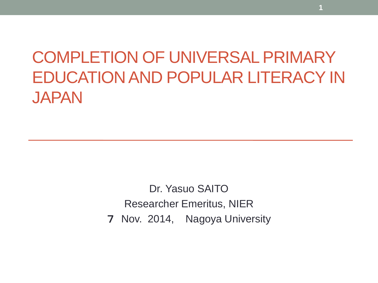# COMPLETION OF UNIVERSAL PRIMARY EDUCATION AND POPULAR LITERACY IN JAPAN

Dr. Yasuo SAITO Researcher Emeritus, NIER 7 Nov. 2014, Nagoya University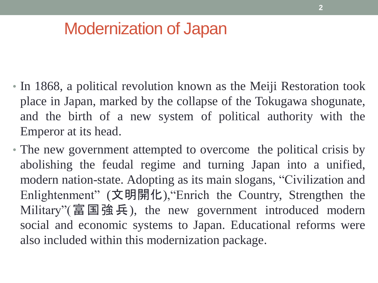## Modernization of Japan

- In 1868, a political revolution known as the Meiji Restoration took place in Japan, marked by the collapse of the Tokugawa shogunate, and the birth of a new system of political authority with the Emperor at its head.
- The new government attempted to overcome the political crisis by abolishing the feudal regime and turning Japan into a unified, modern nation-state. Adopting as its main slogans, "Civilization and Enlightenment" (文明開化),"Enrich the Country, Strengthen the Military"(富国強兵), the new government introduced modern social and economic systems to Japan. Educational reforms were also included within this modernization package.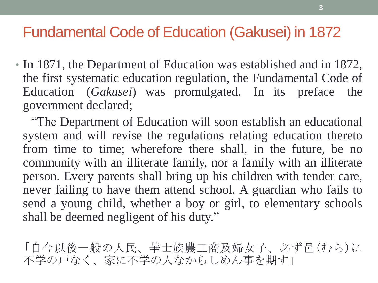#### Fundamental Code of Education (Gakusei) in 1872

• In 1871, the Department of Education was established and in 1872, the first systematic education regulation, the Fundamental Code of Education (*Gakusei*) was promulgated. In its preface the government declared;

 "The Department of Education will soon establish an educational system and will revise the regulations relating education thereto from time to time; wherefore there shall, in the future, be no community with an illiterate family, nor a family with an illiterate person. Every parents shall bring up his children with tender care, never failing to have them attend school. A guardian who fails to send a young child, whether a boy or girl, to elementary schools shall be deemed negligent of his duty."

「自今以後一般の人民、華士族農工商及婦女子、必ず邑(むら)に 不学の戸なく、家に不学の人なからしめん事を期す」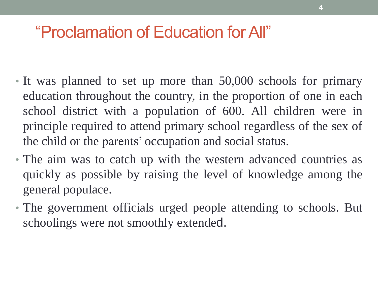## "Proclamation of Education for All"

- It was planned to set up more than 50,000 schools for primary education throughout the country, in the proportion of one in each school district with a population of 600. All children were in principle required to attend primary school regardless of the sex of the child or the parents' occupation and social status.
- The aim was to catch up with the western advanced countries as quickly as possible by raising the level of knowledge among the general populace.
- The government officials urged people attending to schools. But schoolings were not smoothly extended.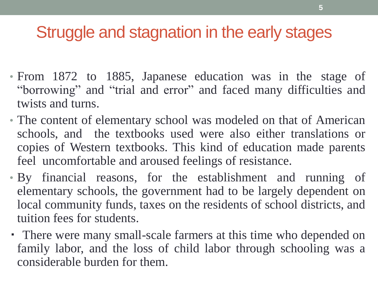## Struggle and stagnation in the early stages

- From 1872 to 1885, Japanese education was in the stage of "borrowing" and "trial and error" and faced many difficulties and twists and turns.
- The content of elementary school was modeled on that of American schools, and the textbooks used were also either translations or copies of Western textbooks. This kind of education made parents feel uncomfortable and aroused feelings of resistance.
- By financial reasons, for the establishment and running of elementary schools, the government had to be largely dependent on local community funds, taxes on the residents of school districts, and tuition fees for students.
- ・ There were many small-scale farmers at this time who depended on family labor, and the loss of child labor through schooling was a considerable burden for them.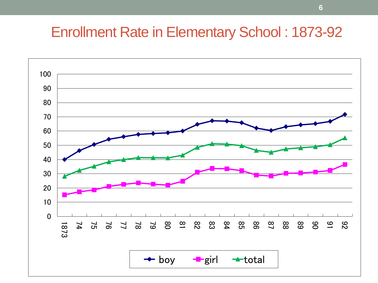#### Enrollment Rate in Elementary School : 1873-92

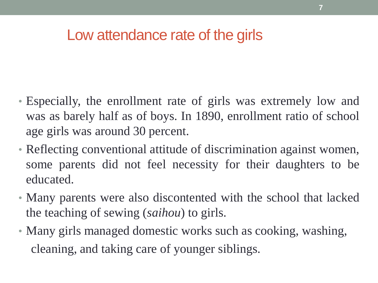#### Low attendance rate of the girls

- Especially, the enrollment rate of girls was extremely low and was as barely half as of boys. In 1890, enrollment ratio of school age girls was around 30 percent.
- Reflecting conventional attitude of discrimination against women, some parents did not feel necessity for their daughters to be educated.
- Many parents were also discontented with the school that lacked the teaching of sewing (*saihou*) to girls.
- Many girls managed domestic works such as cooking, washing, cleaning, and taking care of younger siblings.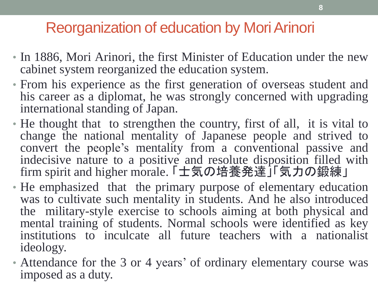### Reorganization of education by Mori Arinori

- In 1886, Mori Arinori, the first Minister of Education under the new cabinet system reorganized the education system.
- From his experience as the first generation of overseas student and his career as a diplomat, he was strongly concerned with upgrading international standing of Japan.
- He thought that to strengthen the country, first of all, it is vital to change the national mentality of Japanese people and strived to convert the people's mentality from a conventional passive and indecisive nature to a positive and resolute disposition filled with firm spirit and higher morale. 「士気の培養発達」「気力の鍛練」
- He emphasized that the primary purpose of elementary education was to cultivate such mentality in students. And he also introduced the military-style exercise to schools aiming at both physical and mental training of students. Normal schools were identified as key institutions to inculcate all future teachers with a nationalist ideology.
- Attendance for the 3 or 4 years' of ordinary elementary course was imposed as a duty.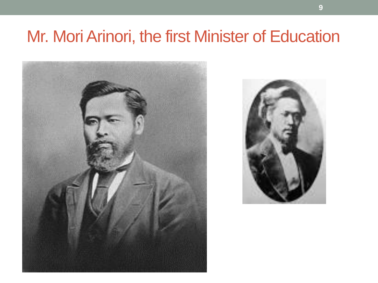## Mr. Mori Arinori, the first Minister of Education



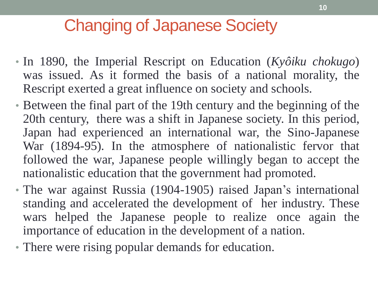## Changing of Japanese Society

- In 1890, the Imperial Rescript on Education (*Kyôiku chokugo*) was issued. As it formed the basis of a national morality, the Rescript exerted a great influence on society and schools.
- Between the final part of the 19th century and the beginning of the 20th century, there was a shift in Japanese society. In this period, Japan had experienced an international war, the Sino-Japanese War (1894-95). In the atmosphere of nationalistic fervor that followed the war, Japanese people willingly began to accept the nationalistic education that the government had promoted.
- The war against Russia (1904-1905) raised Japan's international standing and accelerated the development of her industry. These wars helped the Japanese people to realize once again the importance of education in the development of a nation.
- There were rising popular demands for education.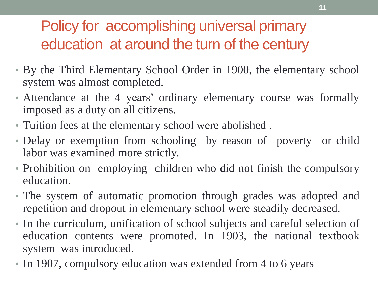## Policy for accomplishing universal primary education at around the turn of the century

- By the Third Elementary School Order in 1900, the elementary school system was almost completed.
- Attendance at the 4 years' ordinary elementary course was formally imposed as a duty on all citizens.
- Tuition fees at the elementary school were abolished .
- Delay or exemption from schooling by reason of poverty or child labor was examined more strictly.
- Prohibition on employing children who did not finish the compulsory education.
- The system of automatic promotion through grades was adopted and repetition and dropout in elementary school were steadily decreased.
- In the curriculum, unification of school subjects and careful selection of education contents were promoted. In 1903, the national textbook system was introduced.
- In 1907, compulsory education was extended from 4 to 6 years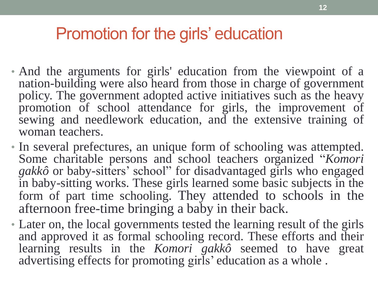## Promotion for the girls' education

- And the arguments for girls' education from the viewpoint of a nation-building were also heard from those in charge of government policy. The government adopted active initiatives such as the heavy promotion of school attendance for girls, the improvement of sewing and needlework education, and the extensive training of woman teachers.
- In several prefectures, an unique form of schooling was attempted. Some charitable persons and school teachers organized "*Komori gakkô* or baby-sitters' school" for disadvantaged girls who engaged in baby-sitting works. These girls learned some basic subjects in the form of part time schooling. They attended to schools in the afternoon free-time bringing a baby in their back.
- Later on, the local governments tested the learning result of the girls and approved it as formal schooling record. These efforts and their learning results in the *Komori gakkô* seemed to have great advertising effects for promoting girls' education as a whole.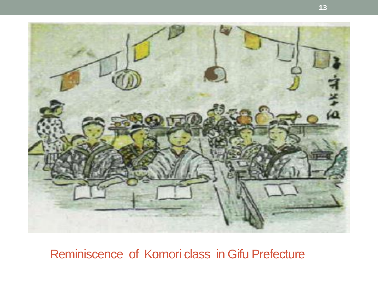

Reminiscence of Komori class in Gifu Prefecture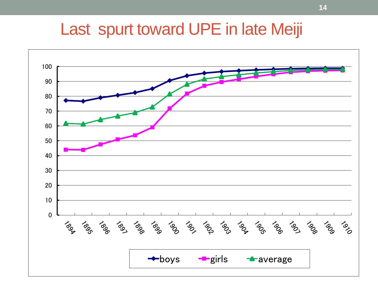## Last spurt toward UPE in late Meiji

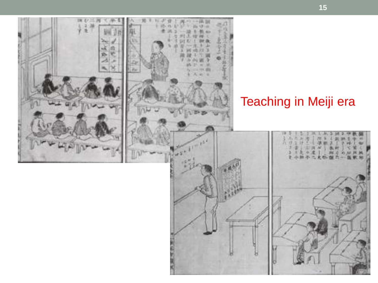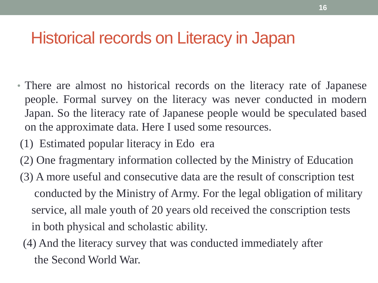## Historical records on Literacy in Japan

- There are almost no historical records on the literacy rate of Japanese people. Formal survey on the literacy was never conducted in modern Japan. So the literacy rate of Japanese people would be speculated based on the approximate data. Here I used some resources.
- (1) Estimated popular literacy in Edo era
- (2) One fragmentary information collected by the Ministry of Education
- (3) A more useful and consecutive data are the result of conscription test conducted by the Ministry of Army. For the legal obligation of military service, all male youth of 20 years old received the conscription tests in both physical and scholastic ability.
- (4) And the literacy survey that was conducted immediately after the Second World War.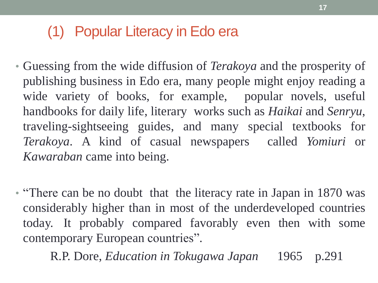#### (1) Popular Literacy in Edo era

- Guessing from the wide diffusion of *Terakoya* and the prosperity of publishing business in Edo era, many people might enjoy reading a wide variety of books, for example, popular novels, useful handbooks for daily life, literary works such as *Haikai* and *Senryu*, traveling-sightseeing guides, and many special textbooks for *Terakoya*. A kind of casual newspapers called *Yomiuri* or *Kawaraban* came into being.
- "There can be no doubt that the literacy rate in Japan in 1870 was considerably higher than in most of the underdeveloped countries today. It probably compared favorably even then with some contemporary European countries".

R.P. Dore, *Education in Tokugawa Japan* 1965 p.291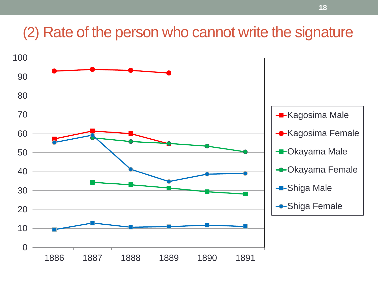#### (2) Rate of the person who cannot write the signature

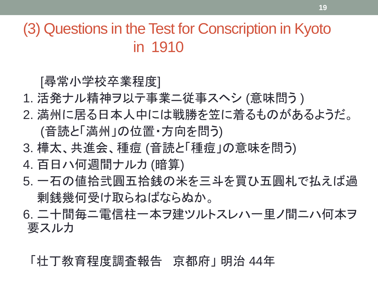(3) Questions in the Test for Conscription in Kyoto in 1910

[尋常小学校卒業程度]

- 1. 活発ナル精神ヲ以テ事業ニ従事スヘシ (意味問う)
- 2. 満州に居る日本人中には戦勝を笠に着るものがあるようだ。 (音読と「満州」の位置・方向を問う)
- 3. 樺太、共進会、種痘 (音読と「種痘」の意味を問う)
- 4. 百日ハ何週間ナルカ (暗算)
- 5. 一石の値拾弐圓五拾銭の米を三斗を買ひ五圓札で払えば過 剰銭幾何受け取らねばならぬか。
- 6. 二十間毎ニ電信柱一本ヲ建ツルトスレハ一里ノ間ニハ何本ヲ 要スルカ

「壮丁教育程度調査報告 京都府」 明治 44年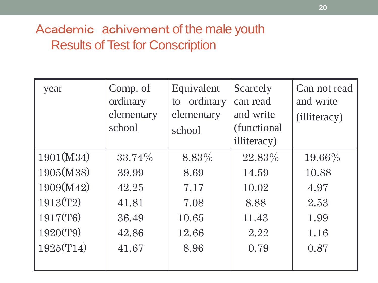#### Academic achivement of the male youth Results of Test for Conscription

| year      | Comp. of<br>ordinary<br>elementary<br>school | Equivalent<br>ordinary<br>to<br>elementary<br>school | Scarcely<br>can read<br>and write<br>(functional<br>illiteracy) | Can not read<br>and write<br>(illiteracy) |
|-----------|----------------------------------------------|------------------------------------------------------|-----------------------------------------------------------------|-------------------------------------------|
| 1901(M34) | 33.74%                                       | 8.83%                                                | 22.83%                                                          | 19.66%                                    |
| 1905(M38) | 39.99                                        | 8.69                                                 | 14.59                                                           | 10.88                                     |
| 1909(M42) | 42.25                                        | 7.17                                                 | 10.02                                                           | 4.97                                      |
| 1913(T2)  | 41.81                                        | 7.08                                                 | 8.88                                                            | 2.53                                      |
| 1917(T6)  | 36.49                                        | 10.65                                                | 11.43                                                           | 1.99                                      |
| 1920(T9)  | 42.86                                        | 12.66                                                | 2.22                                                            | 1.16                                      |
| 1925(T14) | 41.67                                        | 8.96                                                 | 0.79                                                            | 0.87                                      |
|           |                                              |                                                      |                                                                 |                                           |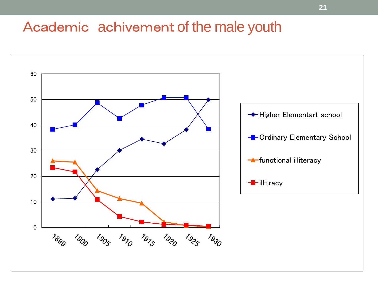#### Academic achivement of the male youth

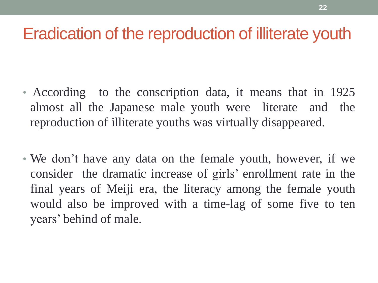## Eradication of the reproduction of illiterate youth

- According to the conscription data, it means that in 1925 almost all the Japanese male youth were literate and the reproduction of illiterate youths was virtually disappeared.
- We don't have any data on the female youth, however, if we consider the dramatic increase of girls' enrollment rate in the final years of Meiji era, the literacy among the female youth would also be improved with a time-lag of some five to ten years' behind of male.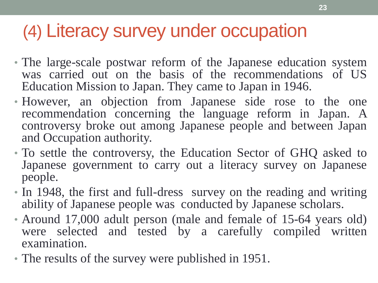# (4) Literacy survey under occupation

- The large-scale postwar reform of the Japanese education system was carried out on the basis of the recommendations of US Education Mission to Japan. They came to Japan in 1946.
- However, an objection from Japanese side rose to the one recommendation concerning the language reform in Japan. A controversy broke out among Japanese people and between Japan and Occupation authority.
- To settle the controversy, the Education Sector of GHQ asked to Japanese government to carry out a literacy survey on Japanese people.
- In 1948, the first and full-dress survey on the reading and writing ability of Japanese people was conducted by Japanese scholars.
- Around 17,000 adult person (male and female of 15-64 years old) were selected and tested by a carefully compiled written examination.
- The results of the survey were published in 1951.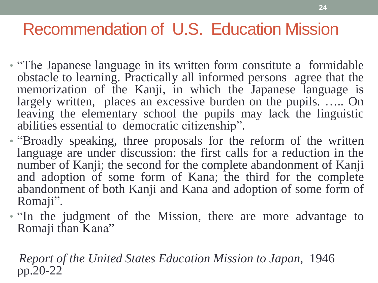## Recommendation of U.S. Education Mission

- "The Japanese language in its written form constitute a formidable obstacle to learning. Practically all informed persons agree that the memorization of the Kanji, in which the Japanese language is largely written, places an excessive burden on the pupils. ….. On leaving the elementary school the pupils may lack the linguistic abilities essential to democratic citizenship".
- "Broadly speaking, three proposals for the reform of the written language are under discussion: the first calls for a reduction in the number of Kanji; the second for the complete abandonment of Kanji and adoption of some form of Kana; the third for the complete abandonment of both Kanji and Kana and adoption of some form of Romaji".
- The judgment of the Mission, there are more advantage to Romaji than Kana"

 *Report of the United States Education Mission to Japan*, 1946 pp.20-22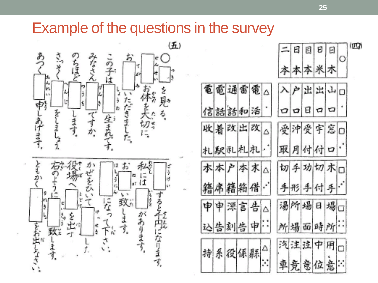#### Example of the questions in the survey

電電通

收着改

札駅乱

謤

申

持系役



|   |    |          |        | E) | 目  | Ð.       | 日                          | $\circ$ | (199) |
|---|----|----------|--------|----|----|----------|----------------------------|---------|-------|
|   |    |          |        |    |    | 本本本米木    |                            |         |       |
|   | 雷電 |          |        |    |    | 户出出山口    |                            |         |       |
|   | 和活 |          |        |    | 日. | $\sigma$ | $\sigma$                   |         |       |
| 出 | 改  | Δ        |        |    |    | 受沖受宇宮口   |                            |         |       |
|   | 札札 |          | 取      |    |    | 月付付      | $\boldsymbol{\mathcal{D}}$ |         |       |
|   | 本末 | $\Delta$ |        |    |    | 切手功切术口   |                            |         |       |
|   | 箱借 |          |        |    |    | 手形手付手    |                            |         |       |
|   | 言告 | Δ        |        |    |    | 湯所場日場口   |                            |         |       |
| 告 | 申  |          | 所場面時所… |    |    |          |                            |         |       |
|   | 係縣 | $\Delta$ | 汽注法中用口 |    |    |          |                            |         |       |
|   |    |          |        |    |    | 車竞意位意:   |                            |         |       |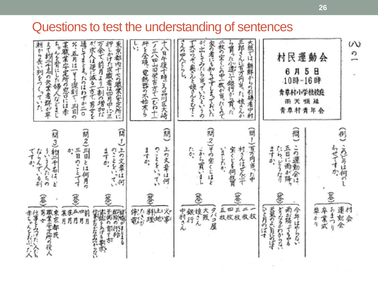#### Questions to test the understanding of sentences

| 東京都内十七の職業安定所に<br>末職業容定所の窓口には赤<br>通じてまとまったのはわずか二〇<br>が求人は逆に減る一方で 男女を<br>ちゃんを背にした婦人などまじ<br>押しかけた求敵者は四月中に三<br>えて約三千名の欠某者踝が平<br>%・五月は一くう深刻で、三日の<br>の余で前月より(割の増加だ<br>朝から長い列をつくって<br>$\overrightarrow{f}$ | ţ<br>坪を全境、電熱器の不始末ら<br>Ϋ́,<br>ノミハロ山田栄吉方で「むね十<br>k.<br>日午後十時。ろ品川区大崎 | 三郎さんに百万円当った娘さんか<br>二枚の空くじの中一枚が当ったもので<br>が出してみたら当っていたというの<br>大阪では 朝鮮からの引揚者中村<br>で大サワギ 奥さんとかさんとむすこ<br>家の者にも如ちせずしまっておいた<br>こんのやくいらし、<br>ら貰った小遣いで銀行から買った | 運<br>民<br>動<br>村<br>会<br>Д<br>5<br>Β<br>6<br>時<br>$-10$ 時 $-16$<br>青草村小学校校庭<br>嚬<br>祗<br>面<br>罖<br>$\ddot{\ddot{\pi}}$<br>村青<br>춯<br>早<br>会 | W<br>Ø)                                             |
|-----------------------------------------------------------------------------------------------------------------------------------------------------------------------------------------------------|-------------------------------------------------------------------|------------------------------------------------------------------------------------------------------------------------------------------------------|---------------------------------------------------------------------------------------------------------------------------------------------|-----------------------------------------------------|
| (問2)三目とは何月の<br>$\widehat{\mathbb{B}}$<br>(開3)約三千名はど<br>のことをいてい<br>三日のことです<br>専示<br>ういう人たちの<br>$\Phi_{\pi}^{*}$<br>てすか<br>ならんで、る別<br>Ķ,                                                              | Ŵ<br>المسينة<br>上の文章は何<br>のことをいってい<br>ますか。                        | (問1)百万円当。<br>問2)その室くじはど<br>宝くじを何扱買<br>'n<br>村さんはぜんぶで<br>こから買いまし<br>傷<br>ゴしたか<br>后中                                                                   | 問<br>この運動会は<br>五日に渦が降っ<br>ますか<br>たらどうなり                                                                                                     | らせてすか。                                              |
| Ê<br>T<br>B<br> 五四前<br>月月月<br>「住事などなどの言葉を、不安になるところでする事をかける 行き方<br>3<br>東京都民<br>东<br>某月<br>赤ちゃんをおぶん人仕事をみづたい人なり<br>職業安定所の役人<br>¢<br>Ø,                                                                | 料土火<br>理地事<br>徐た                                                  | 邕<br>$\lesssim$<br>z.<br>丘牧<br>大阪<br>タバコ屋<br>Œ<br>銀複え<br>中村さん<br>故权<br>枚拔                                                                            | 参<br>(ひと月のばす<br>天気のよい日にのばす<br>雨が降ぐるやる<br>今年はやらない<br>おまつり<br>どうなるかわからない<br>準ずり<br>卒業式                                                        | 運転会<br><br><br><br><br><br><br><br><br><br><br><br> |

**26**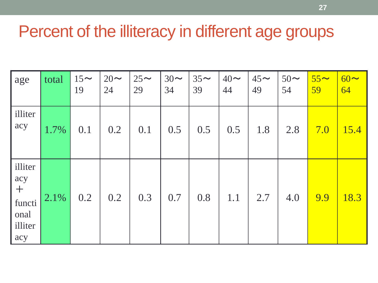## Percent of the illiteracy in different age groups

| age                                                         | total | $15\sim$<br>19 | $20 \sim$<br>24 | $25\sim$<br>29 | $30\sim$<br>34 | $35\sim$<br>39 | $40 \sim$<br>44 | $45\sim$<br>49 | $50\sim$<br>54 | $55\sim$<br>59 | $60 \sim$<br>64 |
|-------------------------------------------------------------|-------|----------------|-----------------|----------------|----------------|----------------|-----------------|----------------|----------------|----------------|-----------------|
| illiter<br>acy                                              | 1.7%  | 0.1            | 0.2             | 0.1            | 0.5            | 0.5            | 0.5             | 1.8            | 2.8            | 7.0            | 15.4            |
| illiter<br>acy<br>$\pm$<br>functi<br>onal<br>illiter<br>acy | 2.1%  | 0.2            | 0.2             | 0.3            | 0.7            | 0.8            | 1.1             | 2.7            | 4.0            | 9.9            | 18.3            |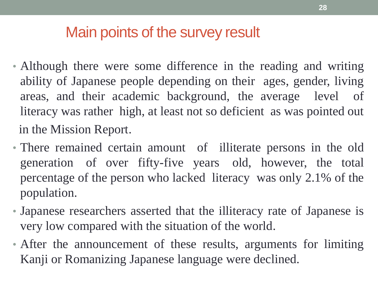### Main points of the survey result

- Although there were some difference in the reading and writing ability of Japanese people depending on their ages, gender, living areas, and their academic background, the average level of literacy was rather high, at least not so deficient as was pointed out in the Mission Report.
- There remained certain amount of illiterate persons in the old generation of over fifty-five years old, however, the total percentage of the person who lacked literacy was only 2.1% of the population.
- Japanese researchers asserted that the illiteracy rate of Japanese is very low compared with the situation of the world.
- After the announcement of these results, arguments for limiting Kanji or Romanizing Japanese language were declined.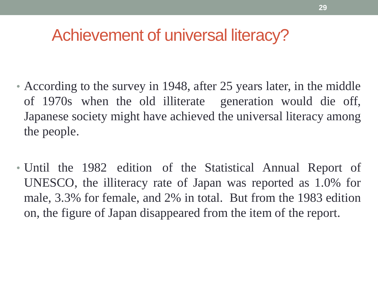## Achievement of universal literacy?

- According to the survey in 1948, after 25 years later, in the middle of 1970s when the old illiterate generation would die off, Japanese society might have achieved the universal literacy among the people.
- Until the 1982 edition of the Statistical Annual Report of UNESCO, the illiteracy rate of Japan was reported as 1.0% for male, 3.3% for female, and 2% in total. But from the 1983 edition on, the figure of Japan disappeared from the item of the report.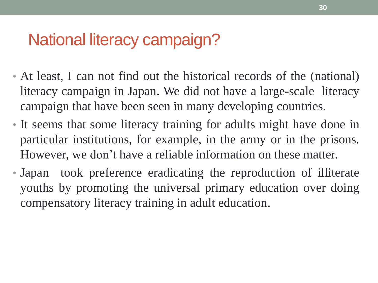## National literacy campaign?

- At least, I can not find out the historical records of the (national) literacy campaign in Japan. We did not have a large-scale literacy campaign that have been seen in many developing countries.
- It seems that some literacy training for adults might have done in particular institutions, for example, in the army or in the prisons. However, we don't have a reliable information on these matter.
- Japan took preference eradicating the reproduction of illiterate youths by promoting the universal primary education over doing compensatory literacy training in adult education.